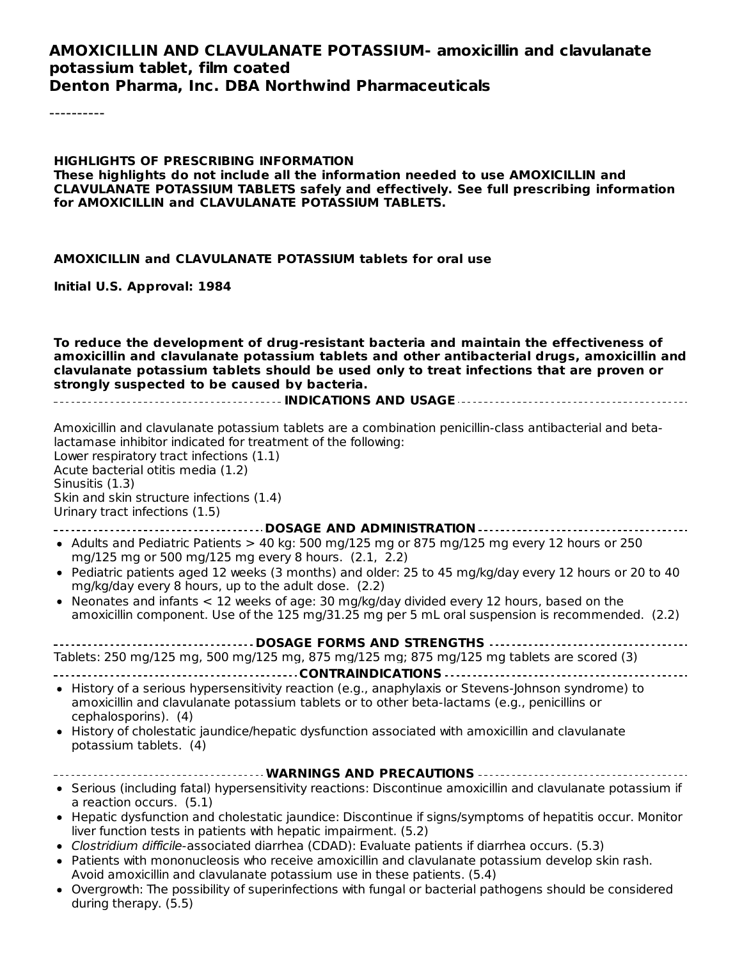#### **AMOXICILLIN AND CLAVULANATE POTASSIUM- amoxicillin and clavulanate potassium tablet, film coated Denton Pharma, Inc. DBA Northwind Pharmaceuticals**

----------

**HIGHLIGHTS OF PRESCRIBING INFORMATION These highlights do not include all the information needed to use AMOXICILLIN and CLAVULANATE POTASSIUM TABLETS safely and effectively. See full prescribing information for AMOXICILLIN and CLAVULANATE POTASSIUM TABLETS.**

#### **AMOXICILLIN and CLAVULANATE POTASSIUM tablets for oral use**

**Initial U.S. Approval: 1984**

**To reduce the development of drug-resistant bacteria and maintain the effectiveness of amoxicillin and clavulanate potassium tablets and other antibacterial drugs, amoxicillin and clavulanate potassium tablets should be used only to treat infections that are proven or strongly suspected to be caused by bacteria.**

**INDICATIONS AND USAGE**

Amoxicillin and clavulanate potassium tablets are a combination penicillin-class antibacterial and betalactamase inhibitor indicated for treatment of the following: Lower respiratory tract infections (1.1) Acute bacterial otitis media (1.2) Sinusitis (1.3) Skin and skin structure infections (1.4) Urinary tract infections (1.5) **DOSAGE AND ADMINISTRATION** • Adults and Pediatric Patients > 40 kg: 500 mg/125 mg or 875 mg/125 mg every 12 hours or 250 mg/125 mg or 500 mg/125 mg every 8 hours. (2.1, 2.2) Pediatric patients aged 12 weeks (3 months) and older: 25 to 45 mg/kg/day every 12 hours or 20 to 40 mg/kg/day every 8 hours, up to the adult dose. (2.2) • Neonates and infants  $< 12$  weeks of age: 30 mg/kg/day divided every 12 hours, based on the amoxicillin component. Use of the 125 mg/31.25 mg per 5 mL oral suspension is recommended. (2.2) **DOSAGE FORMS AND STRENGTHS**

| Tablets: 250 mg/125 mg, 500 mg/125 mg, 875 mg/125 mg; 875 mg/125 mg tablets are scored (3) |  |  |  |  |
|--------------------------------------------------------------------------------------------|--|--|--|--|
|                                                                                            |  |  |  |  |

- History of a serious hypersensitivity reaction (e.g., anaphylaxis or Stevens-Johnson syndrome) to amoxicillin and clavulanate potassium tablets or to other beta-lactams (e.g., penicillins or cephalosporins). (4)
- History of cholestatic jaundice/hepatic dysfunction associated with amoxicillin and clavulanate potassium tablets. (4)
- **WARNINGS AND PRECAUTIONS** Serious (including fatal) hypersensitivity reactions: Discontinue amoxicillin and clavulanate potassium if a reaction occurs. (5.1)
- Hepatic dysfunction and cholestatic jaundice: Discontinue if signs/symptoms of hepatitis occur. Monitor liver function tests in patients with hepatic impairment. (5.2)
- Clostridium difficile-associated diarrhea (CDAD): Evaluate patients if diarrhea occurs. (5.3)
- Patients with mononucleosis who receive amoxicillin and clavulanate potassium develop skin rash. Avoid amoxicillin and clavulanate potassium use in these patients. (5.4)
- Overgrowth: The possibility of superinfections with fungal or bacterial pathogens should be considered during therapy. (5.5)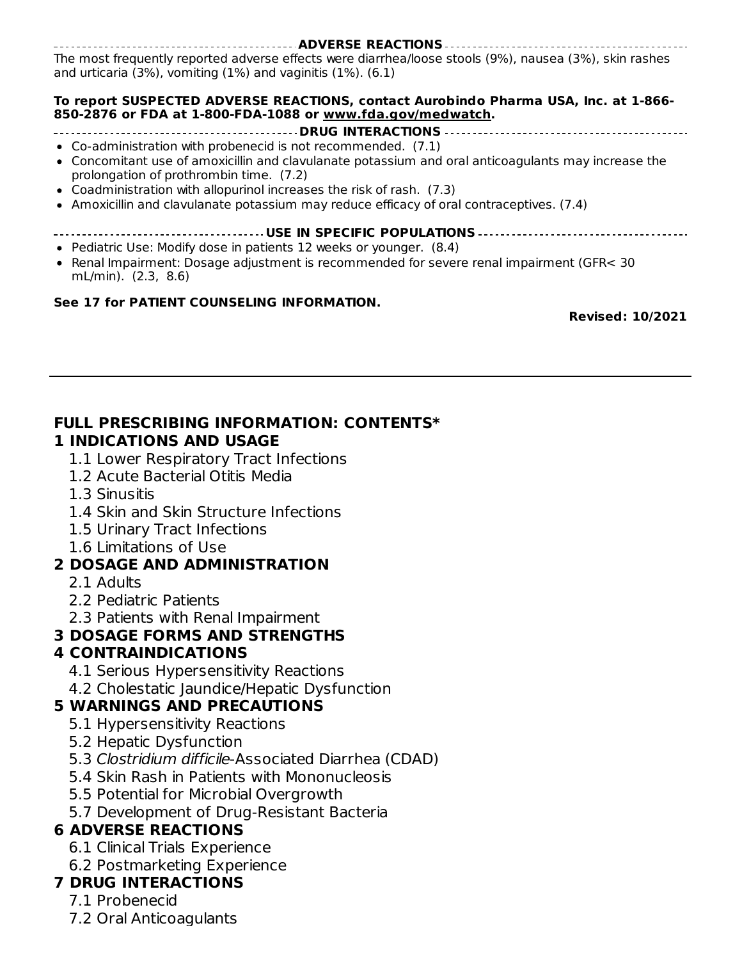**ADVERSE REACTIONS** The most frequently reported adverse effects were diarrhea/loose stools (9%), nausea (3%), skin rashes and urticaria (3%), vomiting (1%) and vaginitis (1%). (6.1)

#### **To report SUSPECTED ADVERSE REACTIONS, contact Aurobindo Pharma USA, Inc. at 1-866- 850-2876 or FDA at 1-800-FDA-1088 or www.fda.gov/medwatch.**

- **DRUG INTERACTIONS**
- Co-administration with probenecid is not recommended. (7.1)
- Concomitant use of amoxicillin and clavulanate potassium and oral anticoagulants may increase the prolongation of prothrombin time. (7.2)
- Coadministration with allopurinol increases the risk of rash. (7.3)
- Amoxicillin and clavulanate potassium may reduce efficacy of oral contraceptives. (7.4)

#### **USE IN SPECIFIC POPULATIONS**

- Pediatric Use: Modify dose in patients 12 weeks or younger. (8.4)
- Renal Impairment: Dosage adjustment is recommended for severe renal impairment (GFR< 30 mL/min). (2.3, 8.6)

#### **See 17 for PATIENT COUNSELING INFORMATION.**

**Revised: 10/2021**

#### **FULL PRESCRIBING INFORMATION: CONTENTS\* 1 INDICATIONS AND USAGE**

- 1.1 Lower Respiratory Tract Infections
- 1.2 Acute Bacterial Otitis Media
- 1.3 Sinusitis
- 1.4 Skin and Skin Structure Infections
- 1.5 Urinary Tract Infections
- 1.6 Limitations of Use

## **2 DOSAGE AND ADMINISTRATION**

- 2.1 Adults
- 2.2 Pediatric Patients
- 2.3 Patients with Renal Impairment

## **3 DOSAGE FORMS AND STRENGTHS**

## **4 CONTRAINDICATIONS**

- 4.1 Serious Hypersensitivity Reactions
- 4.2 Cholestatic Jaundice/Hepatic Dysfunction

## **5 WARNINGS AND PRECAUTIONS**

- 5.1 Hypersensitivity Reactions
- 5.2 Hepatic Dysfunction
- 5.3 Clostridium difficile-Associated Diarrhea (CDAD)
- 5.4 Skin Rash in Patients with Mononucleosis
- 5.5 Potential for Microbial Overgrowth
- 5.7 Development of Drug-Resistant Bacteria

## **6 ADVERSE REACTIONS**

- 6.1 Clinical Trials Experience
- 6.2 Postmarketing Experience

## **7 DRUG INTERACTIONS**

- 7.1 Probenecid
- 7.2 Oral Anticoagulants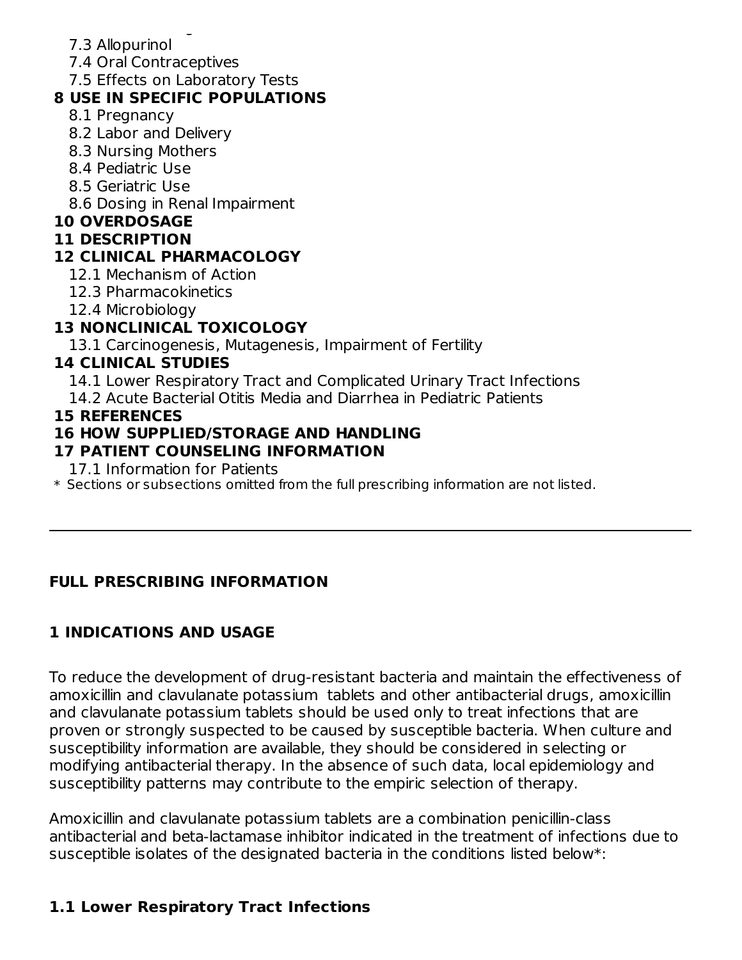- 7.2 Oral Anticoagulants 7.3 Allopurinol
- 7.4 Oral Contraceptives
- 7.5 Effects on Laboratory Tests

## **8 USE IN SPECIFIC POPULATIONS**

- 8.1 Pregnancy
- 8.2 Labor and Delivery
- 8.3 Nursing Mothers
- 8.4 Pediatric Use
- 8.5 Geriatric Use
- 8.6 Dosing in Renal Impairment

### **10 OVERDOSAGE**

### **11 DESCRIPTION**

## **12 CLINICAL PHARMACOLOGY**

- 12.1 Mechanism of Action
- 12.3 Pharmacokinetics
- 12.4 Microbiology

## **13 NONCLINICAL TOXICOLOGY**

13.1 Carcinogenesis, Mutagenesis, Impairment of Fertility

## **14 CLINICAL STUDIES**

14.1 Lower Respiratory Tract and Complicated Urinary Tract Infections

14.2 Acute Bacterial Otitis Media and Diarrhea in Pediatric Patients

### **15 REFERENCES**

## **16 HOW SUPPLIED/STORAGE AND HANDLING**

### **17 PATIENT COUNSELING INFORMATION**

17.1 Information for Patients

 $\ast$  Sections or subsections omitted from the full prescribing information are not listed.

# **FULL PRESCRIBING INFORMATION**

# **1 INDICATIONS AND USAGE**

To reduce the development of drug-resistant bacteria and maintain the effectiveness of amoxicillin and clavulanate potassium tablets and other antibacterial drugs, amoxicillin and clavulanate potassium tablets should be used only to treat infections that are proven or strongly suspected to be caused by susceptible bacteria. When culture and susceptibility information are available, they should be considered in selecting or modifying antibacterial therapy. In the absence of such data, local epidemiology and susceptibility patterns may contribute to the empiric selection of therapy.

Amoxicillin and clavulanate potassium tablets are a combination penicillin-class antibacterial and beta-lactamase inhibitor indicated in the treatment of infections due to susceptible isolates of the designated bacteria in the conditions listed below\*:

## **1.1 Lower Respiratory Tract Infections**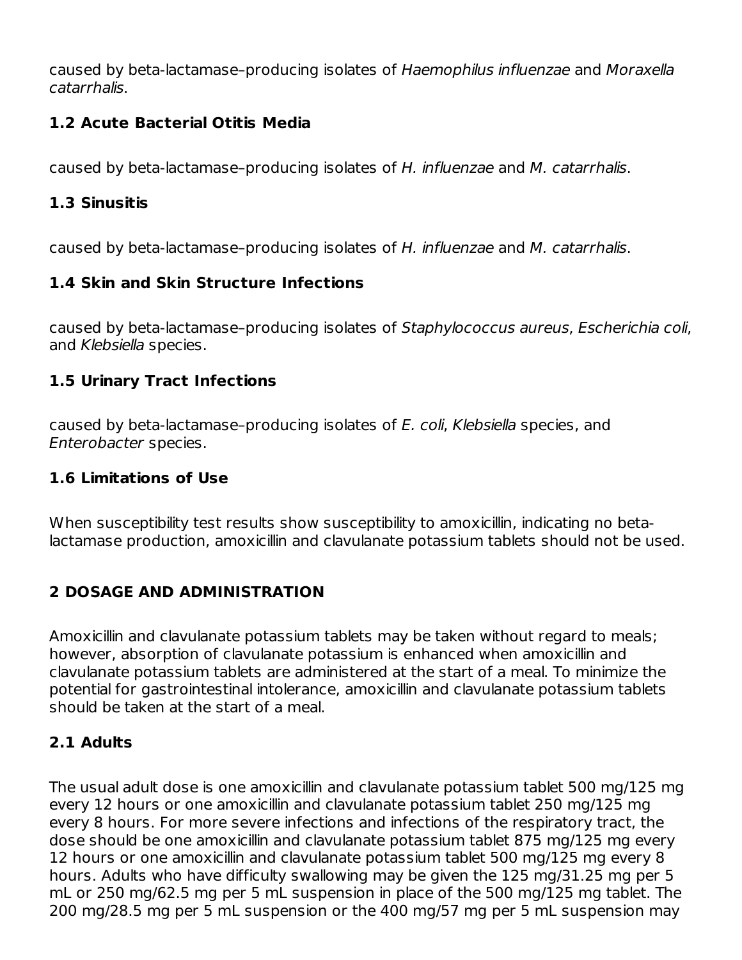caused by beta-lactamase–producing isolates of Haemophilus influenzae and Moraxella catarrhalis.

## **1.2 Acute Bacterial Otitis Media**

caused by beta-lactamase–producing isolates of H. influenzae and M. catarrhalis.

### **1.3 Sinusitis**

caused by beta-lactamase–producing isolates of H. influenzae and M. catarrhalis.

### **1.4 Skin and Skin Structure Infections**

caused by beta-lactamase–producing isolates of Staphylococcus aureus, Escherichia coli, and Klebsiella species.

### **1.5 Urinary Tract Infections**

caused by beta-lactamase–producing isolates of E. coli, Klebsiella species, and Enterobacter species.

#### **1.6 Limitations of Use**

When susceptibility test results show susceptibility to amoxicillin, indicating no betalactamase production, amoxicillin and clavulanate potassium tablets should not be used.

# **2 DOSAGE AND ADMINISTRATION**

Amoxicillin and clavulanate potassium tablets may be taken without regard to meals; however, absorption of clavulanate potassium is enhanced when amoxicillin and clavulanate potassium tablets are administered at the start of a meal. To minimize the potential for gastrointestinal intolerance, amoxicillin and clavulanate potassium tablets should be taken at the start of a meal.

## **2.1 Adults**

The usual adult dose is one amoxicillin and clavulanate potassium tablet 500 mg/125 mg every 12 hours or one amoxicillin and clavulanate potassium tablet 250 mg/125 mg every 8 hours. For more severe infections and infections of the respiratory tract, the dose should be one amoxicillin and clavulanate potassium tablet 875 mg/125 mg every 12 hours or one amoxicillin and clavulanate potassium tablet 500 mg/125 mg every 8 hours. Adults who have difficulty swallowing may be given the 125 mg/31.25 mg per 5 mL or 250 mg/62.5 mg per 5 mL suspension in place of the 500 mg/125 mg tablet. The 200 mg/28.5 mg per 5 mL suspension or the 400 mg/57 mg per 5 mL suspension may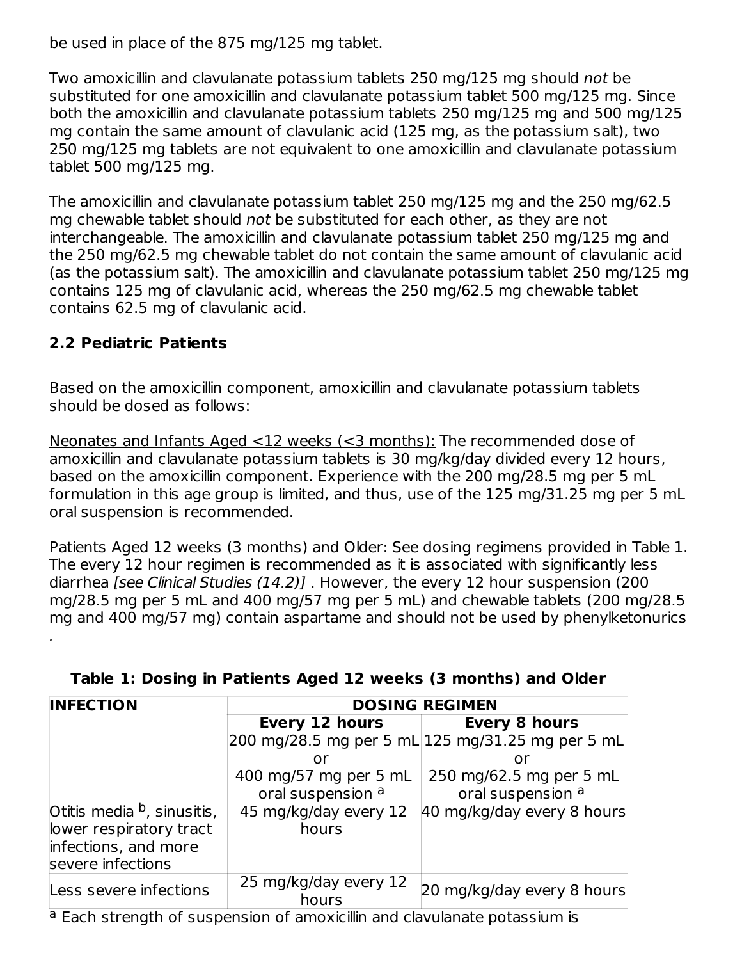be used in place of the 875 mg/125 mg tablet.

Two amoxicillin and clavulanate potassium tablets 250 mg/125 mg should not be substituted for one amoxicillin and clavulanate potassium tablet 500 mg/125 mg. Since both the amoxicillin and clavulanate potassium tablets 250 mg/125 mg and 500 mg/125 mg contain the same amount of clavulanic acid (125 mg, as the potassium salt), two 250 mg/125 mg tablets are not equivalent to one amoxicillin and clavulanate potassium tablet 500 mg/125 mg.

The amoxicillin and clavulanate potassium tablet 250 mg/125 mg and the 250 mg/62.5 mg chewable tablet should not be substituted for each other, as they are not interchangeable. The amoxicillin and clavulanate potassium tablet 250 mg/125 mg and the 250 mg/62.5 mg chewable tablet do not contain the same amount of clavulanic acid (as the potassium salt). The amoxicillin and clavulanate potassium tablet 250 mg/125 mg contains 125 mg of clavulanic acid, whereas the 250 mg/62.5 mg chewable tablet contains 62.5 mg of clavulanic acid.

## **2.2 Pediatric Patients**

Based on the amoxicillin component, amoxicillin and clavulanate potassium tablets should be dosed as follows:

Neonates and Infants Aged <12 weeks (<3 months): The recommended dose of amoxicillin and clavulanate potassium tablets is 30 mg/kg/day divided every 12 hours, based on the amoxicillin component. Experience with the 200 mg/28.5 mg per 5 mL formulation in this age group is limited, and thus, use of the 125 mg/31.25 mg per 5 mL oral suspension is recommended.

Patients Aged 12 weeks (3 months) and Older: See dosing regimens provided in Table 1. The every 12 hour regimen is recommended as it is associated with significantly less diarrhea [see Clinical Studies (14.2)] . However, the every 12 hour suspension (200 mg/28.5 mg per 5 mL and 400 mg/57 mg per 5 mL) and chewable tablets (200 mg/28.5 mg and 400 mg/57 mg) contain aspartame and should not be used by phenylketonurics .

| <b>INFECTION</b>                                                                                               | <b>DOSING REGIMEN</b>                      |                                                  |  |  |
|----------------------------------------------------------------------------------------------------------------|--------------------------------------------|--------------------------------------------------|--|--|
|                                                                                                                | Every 12 hours                             | <b>Every 8 hours</b>                             |  |  |
|                                                                                                                |                                            | 200 mg/28.5 mg per 5 mL 125 mg/31.25 mg per 5 mL |  |  |
|                                                                                                                | or                                         | or                                               |  |  |
|                                                                                                                | 400 mg/57 mg per 5 mL<br>oral suspension a | 250 mg/62.5 mg per 5 mL<br>oral suspension a     |  |  |
| Otitis media <sup>b</sup> , sinusitis,<br>lower respiratory tract<br>infections, and more<br>severe infections | 45 mg/kg/day every 12<br>hours             | 40 mg/kg/day every 8 hours                       |  |  |
| Less severe infections                                                                                         | 25 mg/kg/day every 12<br>hours             | 20 mg/kg/day every 8 hours                       |  |  |

#### **Table 1: Dosing in Patients Aged 12 weeks (3 months) and Older**

<sup>a</sup> Each strength of suspension of amoxicillin and clavulanate potassium is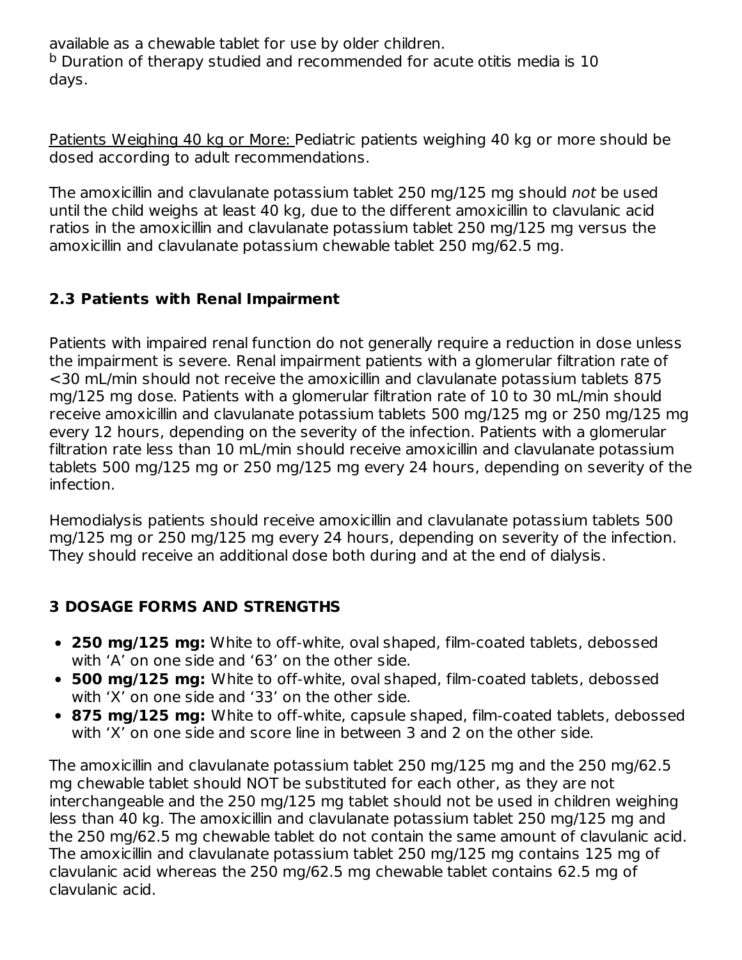available as a chewable tablet for use by older children.  $^{\text{b}}$  Duration of therapy studied and recommended for acute otitis media is 10 days.

Patients Weighing 40 kg or More: Pediatric patients weighing 40 kg or more should be dosed according to adult recommendations.

The amoxicillin and clavulanate potassium tablet 250 mg/125 mg should not be used until the child weighs at least 40 kg, due to the different amoxicillin to clavulanic acid ratios in the amoxicillin and clavulanate potassium tablet 250 mg/125 mg versus the amoxicillin and clavulanate potassium chewable tablet 250 mg/62.5 mg.

## **2.3 Patients with Renal Impairment**

Patients with impaired renal function do not generally require a reduction in dose unless the impairment is severe. Renal impairment patients with a glomerular filtration rate of <30 mL/min should not receive the amoxicillin and clavulanate potassium tablets 875 mg/125 mg dose. Patients with a glomerular filtration rate of 10 to 30 mL/min should receive amoxicillin and clavulanate potassium tablets 500 mg/125 mg or 250 mg/125 mg every 12 hours, depending on the severity of the infection. Patients with a glomerular filtration rate less than 10 mL/min should receive amoxicillin and clavulanate potassium tablets 500 mg/125 mg or 250 mg/125 mg every 24 hours, depending on severity of the infection.

Hemodialysis patients should receive amoxicillin and clavulanate potassium tablets 500 mg/125 mg or 250 mg/125 mg every 24 hours, depending on severity of the infection. They should receive an additional dose both during and at the end of dialysis.

## **3 DOSAGE FORMS AND STRENGTHS**

- **250 mg/125 mg:** White to off-white, oval shaped, film-coated tablets, debossed with 'A' on one side and '63' on the other side.
- **500 mg/125 mg:** White to off-white, oval shaped, film-coated tablets, debossed with 'X' on one side and '33' on the other side.
- **875 mg/125 mg:** White to off-white, capsule shaped, film-coated tablets, debossed with 'X' on one side and score line in between 3 and 2 on the other side.

The amoxicillin and clavulanate potassium tablet 250 mg/125 mg and the 250 mg/62.5 mg chewable tablet should NOT be substituted for each other, as they are not interchangeable and the 250 mg/125 mg tablet should not be used in children weighing less than 40 kg. The amoxicillin and clavulanate potassium tablet 250 mg/125 mg and the 250 mg/62.5 mg chewable tablet do not contain the same amount of clavulanic acid. The amoxicillin and clavulanate potassium tablet 250 mg/125 mg contains 125 mg of clavulanic acid whereas the 250 mg/62.5 mg chewable tablet contains 62.5 mg of clavulanic acid.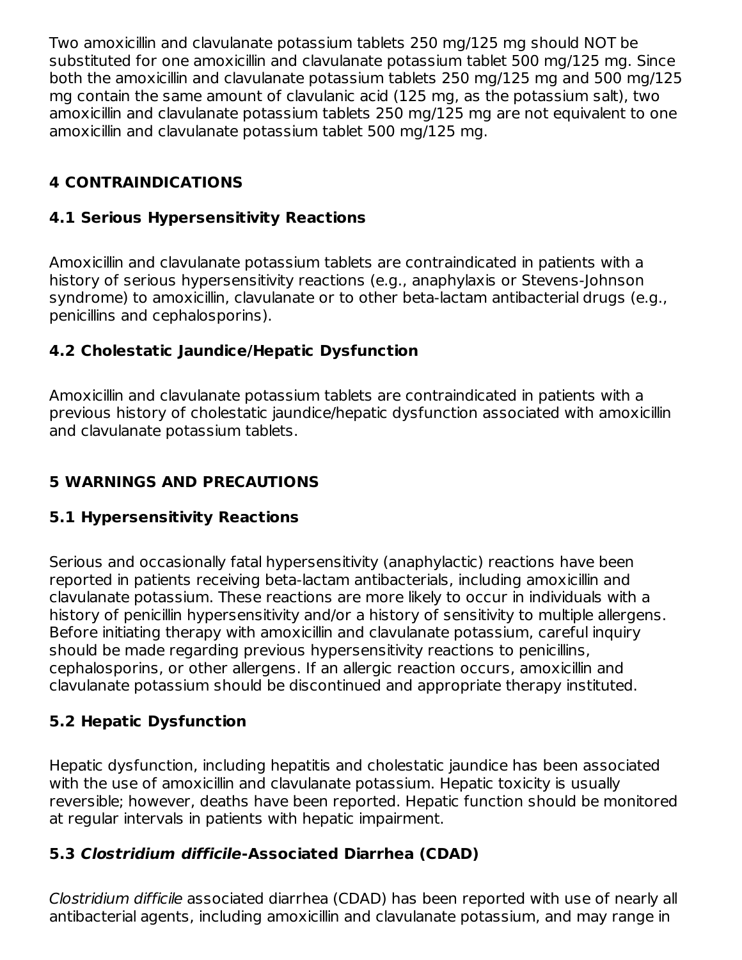Two amoxicillin and clavulanate potassium tablets 250 mg/125 mg should NOT be substituted for one amoxicillin and clavulanate potassium tablet 500 mg/125 mg. Since both the amoxicillin and clavulanate potassium tablets 250 mg/125 mg and 500 mg/125 mg contain the same amount of clavulanic acid (125 mg, as the potassium salt), two amoxicillin and clavulanate potassium tablets 250 mg/125 mg are not equivalent to one amoxicillin and clavulanate potassium tablet 500 mg/125 mg.

# **4 CONTRAINDICATIONS**

## **4.1 Serious Hypersensitivity Reactions**

Amoxicillin and clavulanate potassium tablets are contraindicated in patients with a history of serious hypersensitivity reactions (e.g., anaphylaxis or Stevens-Johnson syndrome) to amoxicillin, clavulanate or to other beta-lactam antibacterial drugs (e.g., penicillins and cephalosporins).

## **4.2 Cholestatic Jaundice/Hepatic Dysfunction**

Amoxicillin and clavulanate potassium tablets are contraindicated in patients with a previous history of cholestatic jaundice/hepatic dysfunction associated with amoxicillin and clavulanate potassium tablets.

# **5 WARNINGS AND PRECAUTIONS**

## **5.1 Hypersensitivity Reactions**

Serious and occasionally fatal hypersensitivity (anaphylactic) reactions have been reported in patients receiving beta-lactam antibacterials, including amoxicillin and clavulanate potassium. These reactions are more likely to occur in individuals with a history of penicillin hypersensitivity and/or a history of sensitivity to multiple allergens. Before initiating therapy with amoxicillin and clavulanate potassium, careful inquiry should be made regarding previous hypersensitivity reactions to penicillins, cephalosporins, or other allergens. If an allergic reaction occurs, amoxicillin and clavulanate potassium should be discontinued and appropriate therapy instituted.

# **5.2 Hepatic Dysfunction**

Hepatic dysfunction, including hepatitis and cholestatic jaundice has been associated with the use of amoxicillin and clavulanate potassium. Hepatic toxicity is usually reversible; however, deaths have been reported. Hepatic function should be monitored at regular intervals in patients with hepatic impairment.

## **5.3 Clostridium difficile-Associated Diarrhea (CDAD)**

Clostridium difficile associated diarrhea (CDAD) has been reported with use of nearly all antibacterial agents, including amoxicillin and clavulanate potassium, and may range in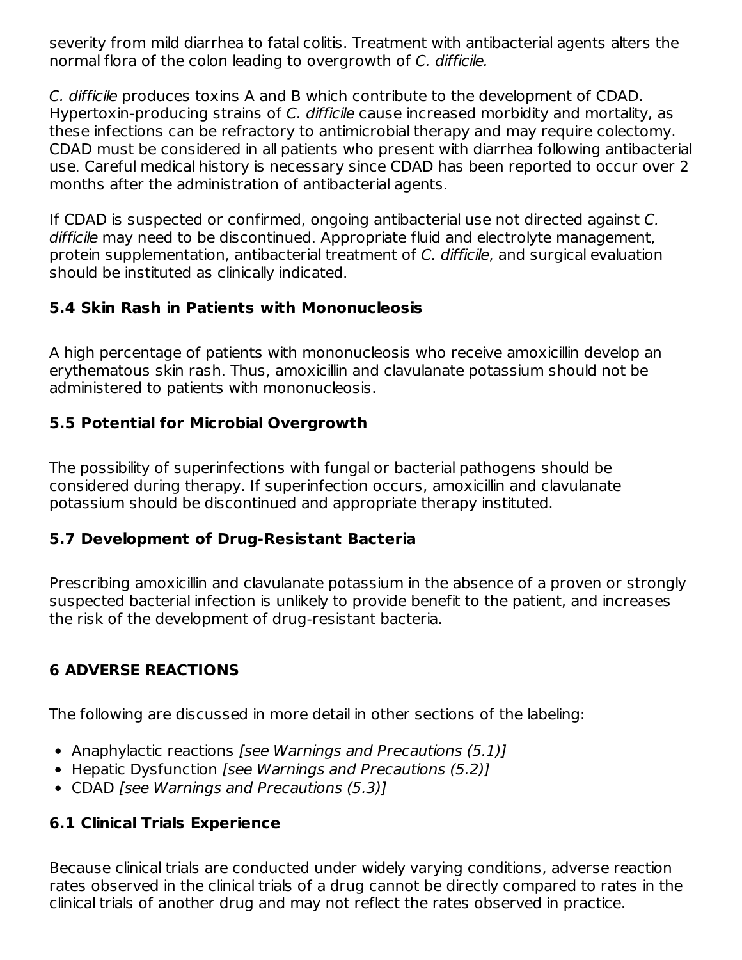severity from mild diarrhea to fatal colitis. Treatment with antibacterial agents alters the normal flora of the colon leading to overgrowth of C. difficile.

C. difficile produces toxins A and B which contribute to the development of CDAD. Hypertoxin-producing strains of C. difficile cause increased morbidity and mortality, as these infections can be refractory to antimicrobial therapy and may require colectomy. CDAD must be considered in all patients who present with diarrhea following antibacterial use. Careful medical history is necessary since CDAD has been reported to occur over 2 months after the administration of antibacterial agents.

If CDAD is suspected or confirmed, ongoing antibacterial use not directed against C. difficile may need to be discontinued. Appropriate fluid and electrolyte management, protein supplementation, antibacterial treatment of C. difficile, and surgical evaluation should be instituted as clinically indicated.

## **5.4 Skin Rash in Patients with Mononucleosis**

A high percentage of patients with mononucleosis who receive amoxicillin develop an erythematous skin rash. Thus, amoxicillin and clavulanate potassium should not be administered to patients with mononucleosis.

### **5.5 Potential for Microbial Overgrowth**

The possibility of superinfections with fungal or bacterial pathogens should be considered during therapy. If superinfection occurs, amoxicillin and clavulanate potassium should be discontinued and appropriate therapy instituted.

#### **5.7 Development of Drug-Resistant Bacteria**

Prescribing amoxicillin and clavulanate potassium in the absence of a proven or strongly suspected bacterial infection is unlikely to provide benefit to the patient, and increases the risk of the development of drug-resistant bacteria.

## **6 ADVERSE REACTIONS**

The following are discussed in more detail in other sections of the labeling:

- Anaphylactic reactions [see Warnings and Precautions (5.1)]
- Hepatic Dysfunction [see Warnings and Precautions (5.2)]
- CDAD [see Warnings and Precautions (5.3)]

## **6.1 Clinical Trials Experience**

Because clinical trials are conducted under widely varying conditions, adverse reaction rates observed in the clinical trials of a drug cannot be directly compared to rates in the clinical trials of another drug and may not reflect the rates observed in practice.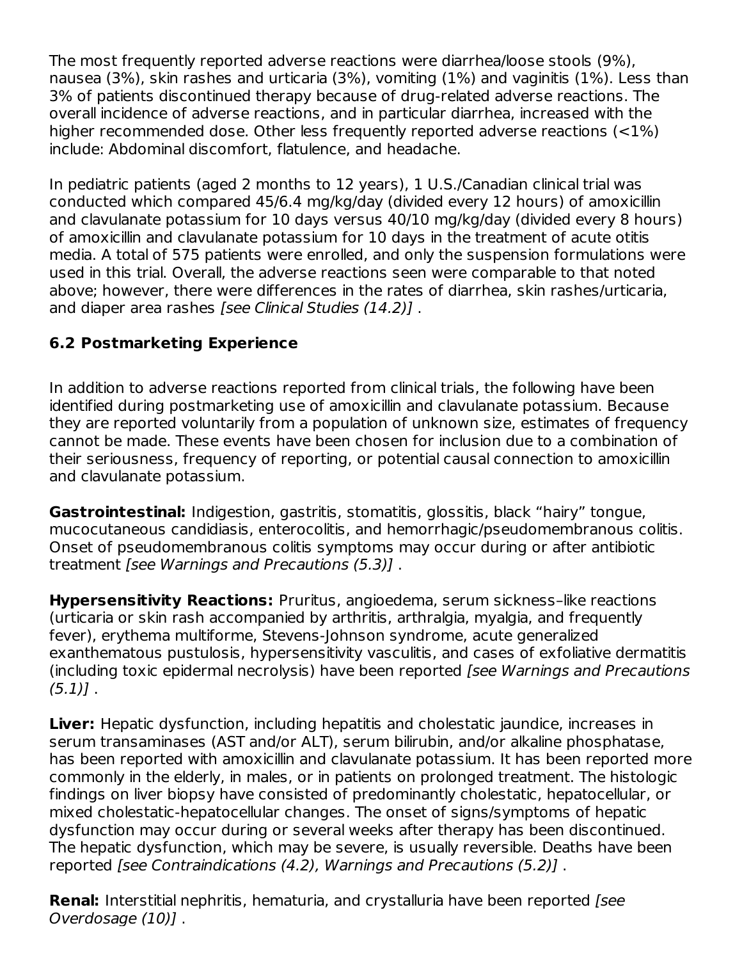The most frequently reported adverse reactions were diarrhea/loose stools (9%), nausea (3%), skin rashes and urticaria (3%), vomiting (1%) and vaginitis (1%). Less than 3% of patients discontinued therapy because of drug-related adverse reactions. The overall incidence of adverse reactions, and in particular diarrhea, increased with the higher recommended dose. Other less frequently reported adverse reactions (<1%) include: Abdominal discomfort, flatulence, and headache.

In pediatric patients (aged 2 months to 12 years), 1 U.S./Canadian clinical trial was conducted which compared 45/6.4 mg/kg/day (divided every 12 hours) of amoxicillin and clavulanate potassium for 10 days versus 40/10 mg/kg/day (divided every 8 hours) of amoxicillin and clavulanate potassium for 10 days in the treatment of acute otitis media. A total of 575 patients were enrolled, and only the suspension formulations were used in this trial. Overall, the adverse reactions seen were comparable to that noted above; however, there were differences in the rates of diarrhea, skin rashes/urticaria, and diaper area rashes [see Clinical Studies (14.2)].

## **6.2 Postmarketing Experience**

In addition to adverse reactions reported from clinical trials, the following have been identified during postmarketing use of amoxicillin and clavulanate potassium. Because they are reported voluntarily from a population of unknown size, estimates of frequency cannot be made. These events have been chosen for inclusion due to a combination of their seriousness, frequency of reporting, or potential causal connection to amoxicillin and clavulanate potassium.

**Gastrointestinal:** Indigestion, gastritis, stomatitis, glossitis, black "hairy" tongue, mucocutaneous candidiasis, enterocolitis, and hemorrhagic/pseudomembranous colitis. Onset of pseudomembranous colitis symptoms may occur during or after antibiotic treatment [see Warnings and Precautions (5.3)] .

**Hypersensitivity Reactions:** Pruritus, angioedema, serum sickness–like reactions (urticaria or skin rash accompanied by arthritis, arthralgia, myalgia, and frequently fever), erythema multiforme, Stevens-Johnson syndrome, acute generalized exanthematous pustulosis, hypersensitivity vasculitis, and cases of exfoliative dermatitis (including toxic epidermal necrolysis) have been reported [see Warnings and Precautions  $(5.1)$ .

**Liver:** Hepatic dysfunction, including hepatitis and cholestatic jaundice, increases in serum transaminases (AST and/or ALT), serum bilirubin, and/or alkaline phosphatase, has been reported with amoxicillin and clavulanate potassium. It has been reported more commonly in the elderly, in males, or in patients on prolonged treatment. The histologic findings on liver biopsy have consisted of predominantly cholestatic, hepatocellular, or mixed cholestatic-hepatocellular changes. The onset of signs/symptoms of hepatic dysfunction may occur during or several weeks after therapy has been discontinued. The hepatic dysfunction, which may be severe, is usually reversible. Deaths have been reported [see Contraindications (4.2), Warnings and Precautions (5.2)] .

**Renal:** Interstitial nephritis, hematuria, and crystalluria have been reported [see Overdosage (10)] .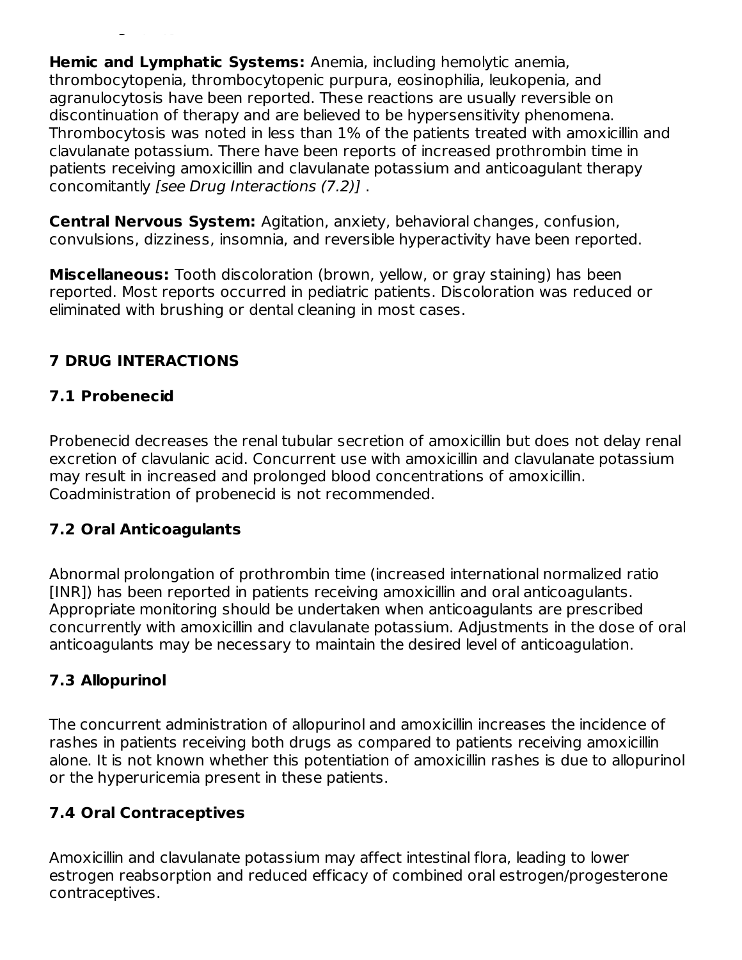**Hemic and Lymphatic Systems:** Anemia, including hemolytic anemia, thrombocytopenia, thrombocytopenic purpura, eosinophilia, leukopenia, and agranulocytosis have been reported. These reactions are usually reversible on discontinuation of therapy and are believed to be hypersensitivity phenomena. Thrombocytosis was noted in less than 1% of the patients treated with amoxicillin and clavulanate potassium. There have been reports of increased prothrombin time in patients receiving amoxicillin and clavulanate potassium and anticoagulant therapy concomitantly [see Drug Interactions (7.2)] .

**Central Nervous System:** Agitation, anxiety, behavioral changes, confusion, convulsions, dizziness, insomnia, and reversible hyperactivity have been reported.

**Miscellaneous:** Tooth discoloration (brown, yellow, or gray staining) has been reported. Most reports occurred in pediatric patients. Discoloration was reduced or eliminated with brushing or dental cleaning in most cases.

# **7 DRUG INTERACTIONS**

## **7.1 Probenecid**

Overdosage (10)] .

Probenecid decreases the renal tubular secretion of amoxicillin but does not delay renal excretion of clavulanic acid. Concurrent use with amoxicillin and clavulanate potassium may result in increased and prolonged blood concentrations of amoxicillin. Coadministration of probenecid is not recommended.

## **7.2 Oral Anticoagulants**

Abnormal prolongation of prothrombin time (increased international normalized ratio [INR]) has been reported in patients receiving amoxicillin and oral anticoagulants. Appropriate monitoring should be undertaken when anticoagulants are prescribed concurrently with amoxicillin and clavulanate potassium. Adjustments in the dose of oral anticoagulants may be necessary to maintain the desired level of anticoagulation.

## **7.3 Allopurinol**

The concurrent administration of allopurinol and amoxicillin increases the incidence of rashes in patients receiving both drugs as compared to patients receiving amoxicillin alone. It is not known whether this potentiation of amoxicillin rashes is due to allopurinol or the hyperuricemia present in these patients.

## **7.4 Oral Contraceptives**

Amoxicillin and clavulanate potassium may affect intestinal flora, leading to lower estrogen reabsorption and reduced efficacy of combined oral estrogen/progesterone contraceptives.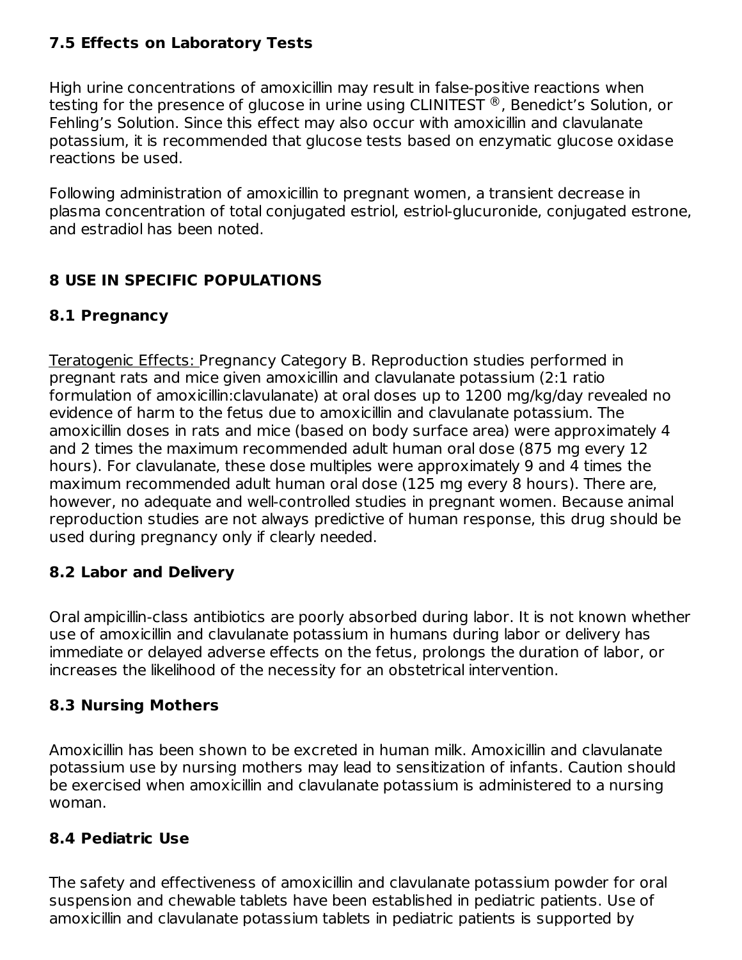## **7.5 Effects on Laboratory Tests**

High urine concentrations of amoxicillin may result in false-positive reactions when testing for the presence of glucose in urine using CLINITEST  $^\circledR$  , Benedict's Solution, or Fehling's Solution. Since this effect may also occur with amoxicillin and clavulanate potassium, it is recommended that glucose tests based on enzymatic glucose oxidase reactions be used.

Following administration of amoxicillin to pregnant women, a transient decrease in plasma concentration of total conjugated estriol, estriol-glucuronide, conjugated estrone, and estradiol has been noted.

## **8 USE IN SPECIFIC POPULATIONS**

## **8.1 Pregnancy**

Teratogenic Effects: Pregnancy Category B. Reproduction studies performed in pregnant rats and mice given amoxicillin and clavulanate potassium (2:1 ratio formulation of amoxicillin:clavulanate) at oral doses up to 1200 mg/kg/day revealed no evidence of harm to the fetus due to amoxicillin and clavulanate potassium. The amoxicillin doses in rats and mice (based on body surface area) were approximately 4 and 2 times the maximum recommended adult human oral dose (875 mg every 12 hours). For clavulanate, these dose multiples were approximately 9 and 4 times the maximum recommended adult human oral dose (125 mg every 8 hours). There are, however, no adequate and well-controlled studies in pregnant women. Because animal reproduction studies are not always predictive of human response, this drug should be used during pregnancy only if clearly needed.

## **8.2 Labor and Delivery**

Oral ampicillin-class antibiotics are poorly absorbed during labor. It is not known whether use of amoxicillin and clavulanate potassium in humans during labor or delivery has immediate or delayed adverse effects on the fetus, prolongs the duration of labor, or increases the likelihood of the necessity for an obstetrical intervention.

## **8.3 Nursing Mothers**

Amoxicillin has been shown to be excreted in human milk. Amoxicillin and clavulanate potassium use by nursing mothers may lead to sensitization of infants. Caution should be exercised when amoxicillin and clavulanate potassium is administered to a nursing woman.

## **8.4 Pediatric Use**

The safety and effectiveness of amoxicillin and clavulanate potassium powder for oral suspension and chewable tablets have been established in pediatric patients. Use of amoxicillin and clavulanate potassium tablets in pediatric patients is supported by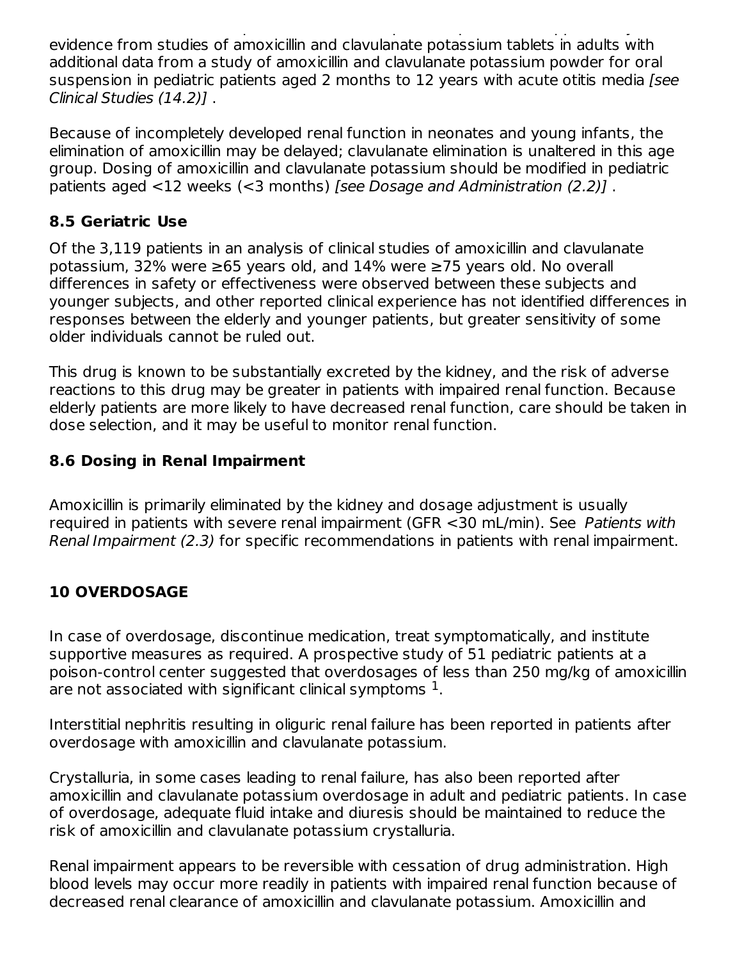amoxicillin and clavulanate potassium tablets in pediatric patients is supported by evidence from studies of amoxicillin and clavulanate potassium tablets in adults with additional data from a study of amoxicillin and clavulanate potassium powder for oral suspension in pediatric patients aged 2 months to 12 years with acute otitis media [see Clinical Studies (14.2)] .

Because of incompletely developed renal function in neonates and young infants, the elimination of amoxicillin may be delayed; clavulanate elimination is unaltered in this age group. Dosing of amoxicillin and clavulanate potassium should be modified in pediatric patients aged <12 weeks (<3 months) [see Dosage and Administration (2.2)] .

## **8.5 Geriatric Use**

Of the 3,119 patients in an analysis of clinical studies of amoxicillin and clavulanate potassium, 32% were ≥65 years old, and 14% were ≥75 years old. No overall differences in safety or effectiveness were observed between these subjects and younger subjects, and other reported clinical experience has not identified differences in responses between the elderly and younger patients, but greater sensitivity of some older individuals cannot be ruled out.

This drug is known to be substantially excreted by the kidney, and the risk of adverse reactions to this drug may be greater in patients with impaired renal function. Because elderly patients are more likely to have decreased renal function, care should be taken in dose selection, and it may be useful to monitor renal function.

## **8.6 Dosing in Renal Impairment**

Amoxicillin is primarily eliminated by the kidney and dosage adjustment is usually required in patients with severe renal impairment (GFR <30 mL/min). See Patients with Renal Impairment (2.3) for specific recommendations in patients with renal impairment.

# **10 OVERDOSAGE**

In case of overdosage, discontinue medication, treat symptomatically, and institute supportive measures as required. A prospective study of 51 pediatric patients at a poison-control center suggested that overdosages of less than 250 mg/kg of amoxicillin are not associated with significant clinical symptoms  $^{\rm 1}.$ 

Interstitial nephritis resulting in oliguric renal failure has been reported in patients after overdosage with amoxicillin and clavulanate potassium.

Crystalluria, in some cases leading to renal failure, has also been reported after amoxicillin and clavulanate potassium overdosage in adult and pediatric patients. In case of overdosage, adequate fluid intake and diuresis should be maintained to reduce the risk of amoxicillin and clavulanate potassium crystalluria.

Renal impairment appears to be reversible with cessation of drug administration. High blood levels may occur more readily in patients with impaired renal function because of decreased renal clearance of amoxicillin and clavulanate potassium. Amoxicillin and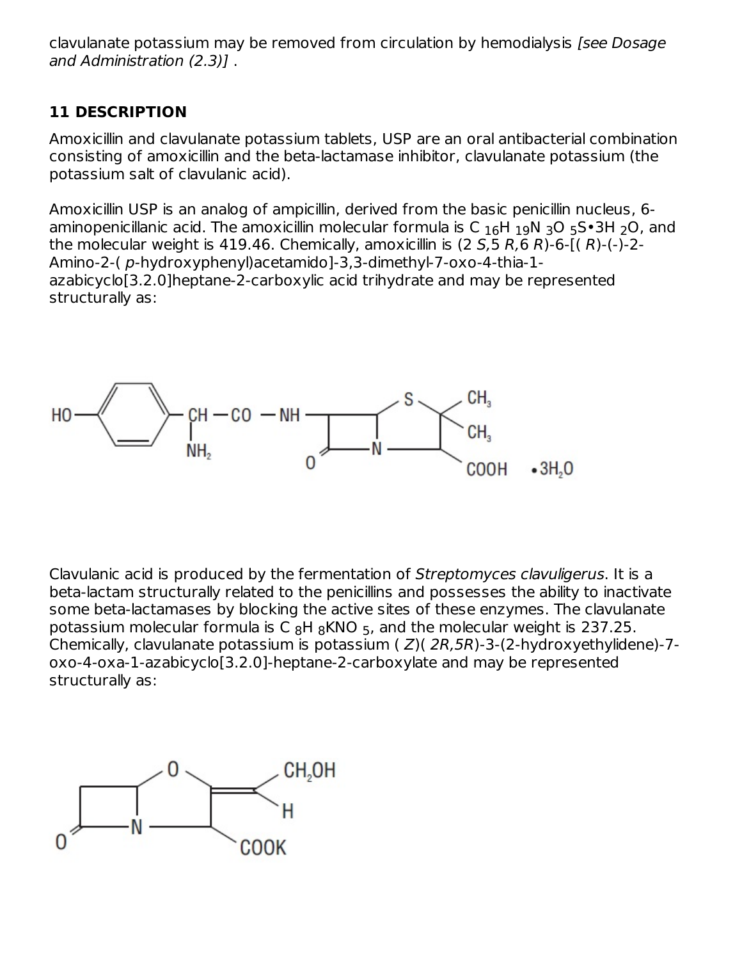clavulanate potassium may be removed from circulation by hemodialysis [see Dosage and Administration (2.3)] .

## **11 DESCRIPTION**

Amoxicillin and clavulanate potassium tablets, USP are an oral antibacterial combination consisting of amoxicillin and the beta-lactamase inhibitor, clavulanate potassium (the potassium salt of clavulanic acid).

Amoxicillin USP is an analog of ampicillin, derived from the basic penicillin nucleus, 6 aminopenicillanic acid. The amoxicillin molecular formula is C  $_{16}$ H  $_{19}$ N  $_{3}$ O  $_{5}$ S•3H  $_{2}$ O, and the molecular weight is 419.46. Chemically, amoxicillin is  $(2 5.5 R, 6 R)$ -6- $(1 R)$ - $($ - $)$ -2-Amino-2-( p-hydroxyphenyl)acetamido]-3,3-dimethyl-7-oxo-4-thia-1 azabicyclo[3.2.0]heptane-2-carboxylic acid trihydrate and may be represented structurally as:



Clavulanic acid is produced by the fermentation of Streptomyces clavuligerus. It is a beta-lactam structurally related to the penicillins and possesses the ability to inactivate some beta-lactamases by blocking the active sites of these enzymes. The clavulanate potassium molecular formula is C  $_8$ H  $_8$ KNO  $_5$ , and the molecular weight is 237.25. Chemically, clavulanate potassium is potassium  $(Z)(2R,5R)$ -3-(2-hydroxyethylidene)-7oxo-4-oxa-1-azabicyclo[3.2.0]-heptane-2-carboxylate and may be represented structurally as:

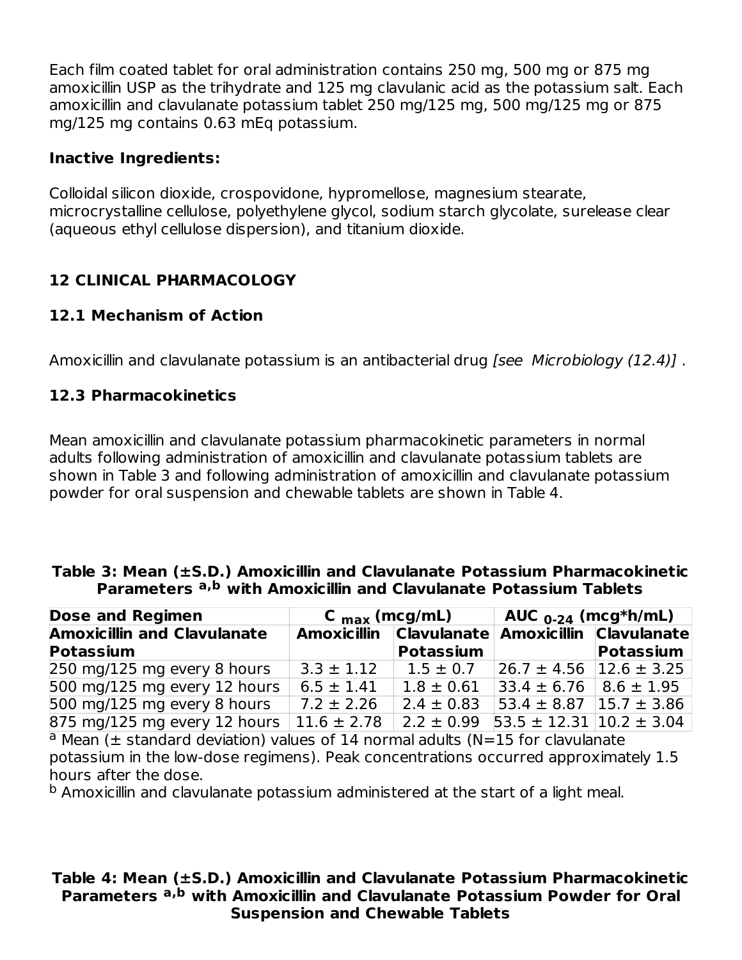Each film coated tablet for oral administration contains 250 mg, 500 mg or 875 mg amoxicillin USP as the trihydrate and 125 mg clavulanic acid as the potassium salt. Each amoxicillin and clavulanate potassium tablet 250 mg/125 mg, 500 mg/125 mg or 875 mg/125 mg contains 0.63 mEq potassium.

### **Inactive Ingredients:**

Colloidal silicon dioxide, crospovidone, hypromellose, magnesium stearate, microcrystalline cellulose, polyethylene glycol, sodium starch glycolate, surelease clear (aqueous ethyl cellulose dispersion), and titanium dioxide.

## **12 CLINICAL PHARMACOLOGY**

### **12.1 Mechanism of Action**

Amoxicillin and clavulanate potassium is an antibacterial drug *[see Microbiology (12.4)]*.

### **12.3 Pharmacokinetics**

Mean amoxicillin and clavulanate potassium pharmacokinetic parameters in normal adults following administration of amoxicillin and clavulanate potassium tablets are shown in Table 3 and following administration of amoxicillin and clavulanate potassium powder for oral suspension and chewable tablets are shown in Table 4.

#### **Table 3: Mean (±S.D.) Amoxicillin and Clavulanate Potassium Pharmacokinetic Parameters with Amoxicillin and Clavulanate Potassium Tablets a,b**

| <b>Dose and Regimen</b>            | C $_{\text{max}}$ (mcg/mL) |                                                 | AUC $_{0-24}$ (mcg*h/mL)                        |           |
|------------------------------------|----------------------------|-------------------------------------------------|-------------------------------------------------|-----------|
| <b>Amoxicillin and Clavulanate</b> |                            | Amoxicillin Clavulanate Amoxicillin Clavulanate |                                                 |           |
| <b>Potassium</b>                   |                            | <b>Potassium</b>                                |                                                 | Potassium |
| 250 mg/125 mg every 8 hours        | $3.3 \pm 1.12$             | $1.5 \pm 0.7$                                   | $ 26.7 \pm 4.56 12.6 \pm 3.25 $                 |           |
| 500 mg/125 mg every 12 hours       | $6.5 \pm 1.41$             | $1.8 \pm 0.61$                                  | $ 33.4 \pm 6.76 8.6 \pm 1.95 $                  |           |
| 500 mg/125 mg every 8 hours        | $7.2 \pm 2.26$             | $2.4 \pm 0.83$                                  | $153.4 \pm 8.87$ 15.7 $\pm$ 3.86                |           |
| 875 mg/125 mg every 12 hours       | $11.6 \pm 2.78$            |                                                 | $2.2 \pm 0.99$ 53.5 $\pm$ 12.31 10.2 $\pm$ 3.04 |           |

 $a$  Mean ( $\pm$  standard deviation) values of 14 normal adults (N=15 for clavulanate potassium in the low-dose regimens). Peak concentrations occurred approximately 1.5 hours after the dose.

 $^{\rm b}$  Amoxicillin and clavulanate potassium administered at the start of a light meal.

#### **Table 4: Mean (±S.D.) Amoxicillin and Clavulanate Potassium Pharmacokinetic Parameters with Amoxicillin and Clavulanate Potassium Powder for Oral a,bSuspension and Chewable Tablets**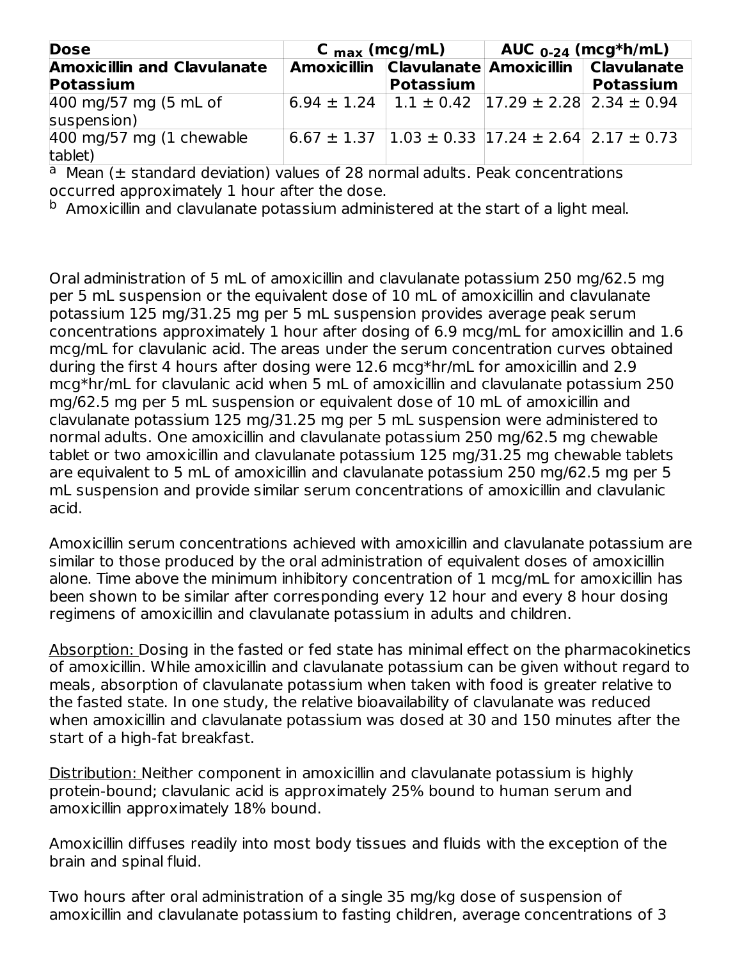| <b>Dose</b>                           | C $_{\text{max}}$ (mcg/mL)                                                           |  | AUC $_{0-24}$ (mcg*h/mL)                        |
|---------------------------------------|--------------------------------------------------------------------------------------|--|-------------------------------------------------|
| <b>Amoxicillin and Clavulanate</b>    |                                                                                      |  | Amoxicillin Clavulanate Amoxicillin Clavulanate |
| <b>Potassium</b>                      | Potassium                                                                            |  | <b>Potassium</b>                                |
| 400 mg/57 mg (5 mL of<br>suspension)  | $6.94 \pm 1.24$   1.1 $\pm$ 0.42   17.29 $\pm$ 2.28   2.34 $\pm$ 0.94                |  |                                                 |
| $400$ mg/57 mg (1 chewable<br>tablet) | $6.67 \pm 1.37$   1.03 $\pm$ 0.33   17.24 $\pm$ 2. $\overline{64}$   2.17 $\pm$ 0.73 |  |                                                 |

 $a$  Mean ( $\pm$  standard deviation) values of 28 normal adults. Peak concentrations occurred approximately 1 hour after the dose.

 $^{\rm b}$  Amoxicillin and clavulanate potassium administered at the start of a light meal.

Oral administration of 5 mL of amoxicillin and clavulanate potassium 250 mg/62.5 mg per 5 mL suspension or the equivalent dose of 10 mL of amoxicillin and clavulanate potassium 125 mg/31.25 mg per 5 mL suspension provides average peak serum concentrations approximately 1 hour after dosing of 6.9 mcg/mL for amoxicillin and 1.6 mcg/mL for clavulanic acid. The areas under the serum concentration curves obtained during the first 4 hours after dosing were 12.6 mcg\*hr/mL for amoxicillin and 2.9 mcg\*hr/mL for clavulanic acid when 5 mL of amoxicillin and clavulanate potassium 250 mg/62.5 mg per 5 mL suspension or equivalent dose of 10 mL of amoxicillin and clavulanate potassium 125 mg/31.25 mg per 5 mL suspension were administered to normal adults. One amoxicillin and clavulanate potassium 250 mg/62.5 mg chewable tablet or two amoxicillin and clavulanate potassium 125 mg/31.25 mg chewable tablets are equivalent to 5 mL of amoxicillin and clavulanate potassium 250 mg/62.5 mg per 5 mL suspension and provide similar serum concentrations of amoxicillin and clavulanic acid.

Amoxicillin serum concentrations achieved with amoxicillin and clavulanate potassium are similar to those produced by the oral administration of equivalent doses of amoxicillin alone. Time above the minimum inhibitory concentration of 1 mcg/mL for amoxicillin has been shown to be similar after corresponding every 12 hour and every 8 hour dosing regimens of amoxicillin and clavulanate potassium in adults and children.

Absorption: Dosing in the fasted or fed state has minimal effect on the pharmacokinetics of amoxicillin. While amoxicillin and clavulanate potassium can be given without regard to meals, absorption of clavulanate potassium when taken with food is greater relative to the fasted state. In one study, the relative bioavailability of clavulanate was reduced when amoxicillin and clavulanate potassium was dosed at 30 and 150 minutes after the start of a high-fat breakfast.

Distribution: Neither component in amoxicillin and clavulanate potassium is highly protein-bound; clavulanic acid is approximately 25% bound to human serum and amoxicillin approximately 18% bound.

Amoxicillin diffuses readily into most body tissues and fluids with the exception of the brain and spinal fluid.

Two hours after oral administration of a single 35 mg/kg dose of suspension of amoxicillin and clavulanate potassium to fasting children, average concentrations of 3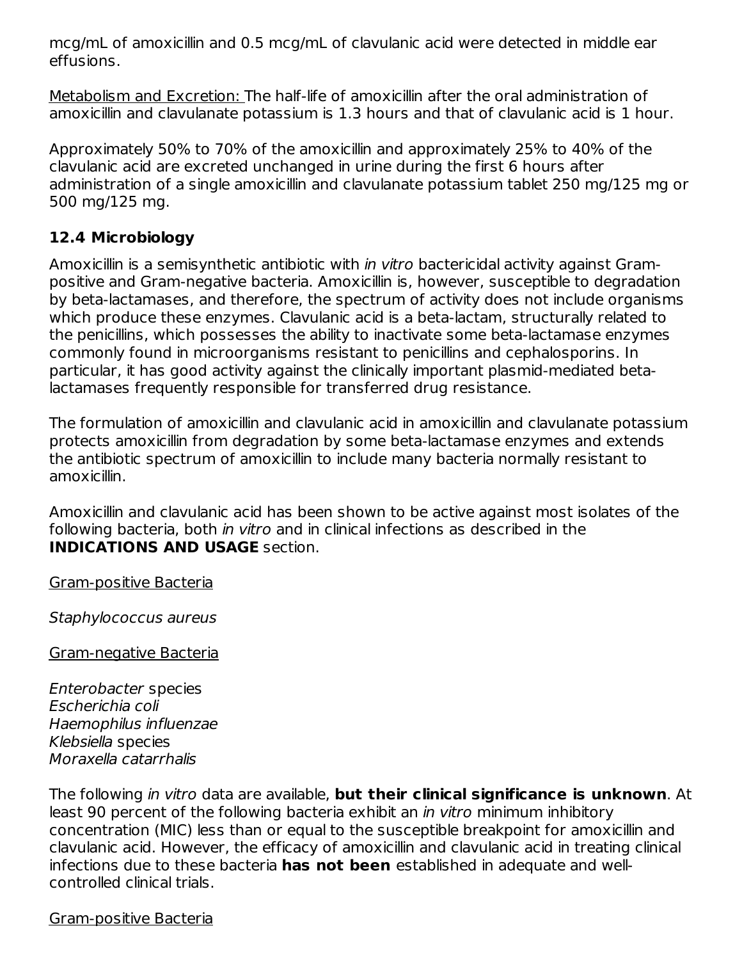mcg/mL of amoxicillin and 0.5 mcg/mL of clavulanic acid were detected in middle ear effusions.

Metabolism and Excretion: The half-life of amoxicillin after the oral administration of amoxicillin and clavulanate potassium is 1.3 hours and that of clavulanic acid is 1 hour.

Approximately 50% to 70% of the amoxicillin and approximately 25% to 40% of the clavulanic acid are excreted unchanged in urine during the first 6 hours after administration of a single amoxicillin and clavulanate potassium tablet 250 mg/125 mg or 500 mg/125 mg.

## **12.4 Microbiology**

Amoxicillin is a semisynthetic antibiotic with *in vitro* bactericidal activity against Grampositive and Gram-negative bacteria. Amoxicillin is, however, susceptible to degradation by beta-lactamases, and therefore, the spectrum of activity does not include organisms which produce these enzymes. Clavulanic acid is a beta-lactam, structurally related to the penicillins, which possesses the ability to inactivate some beta-lactamase enzymes commonly found in microorganisms resistant to penicillins and cephalosporins. In particular, it has good activity against the clinically important plasmid-mediated betalactamases frequently responsible for transferred drug resistance.

The formulation of amoxicillin and clavulanic acid in amoxicillin and clavulanate potassium protects amoxicillin from degradation by some beta-lactamase enzymes and extends the antibiotic spectrum of amoxicillin to include many bacteria normally resistant to amoxicillin.

Amoxicillin and clavulanic acid has been shown to be active against most isolates of the following bacteria, both in vitro and in clinical infections as described in the **INDICATIONS AND USAGE** section.

Gram-positive Bacteria

Staphylococcus aureus

Gram-negative Bacteria

Enterobacter species Escherichia coli Haemophilus influenzae Klebsiella species Moraxella catarrhalis

The following in vitro data are available, **but their clinical significance is unknown**. At least 90 percent of the following bacteria exhibit an *in vitro* minimum inhibitory concentration (MIC) less than or equal to the susceptible breakpoint for amoxicillin and clavulanic acid. However, the efficacy of amoxicillin and clavulanic acid in treating clinical infections due to these bacteria **has not been** established in adequate and wellcontrolled clinical trials.

Gram-positive Bacteria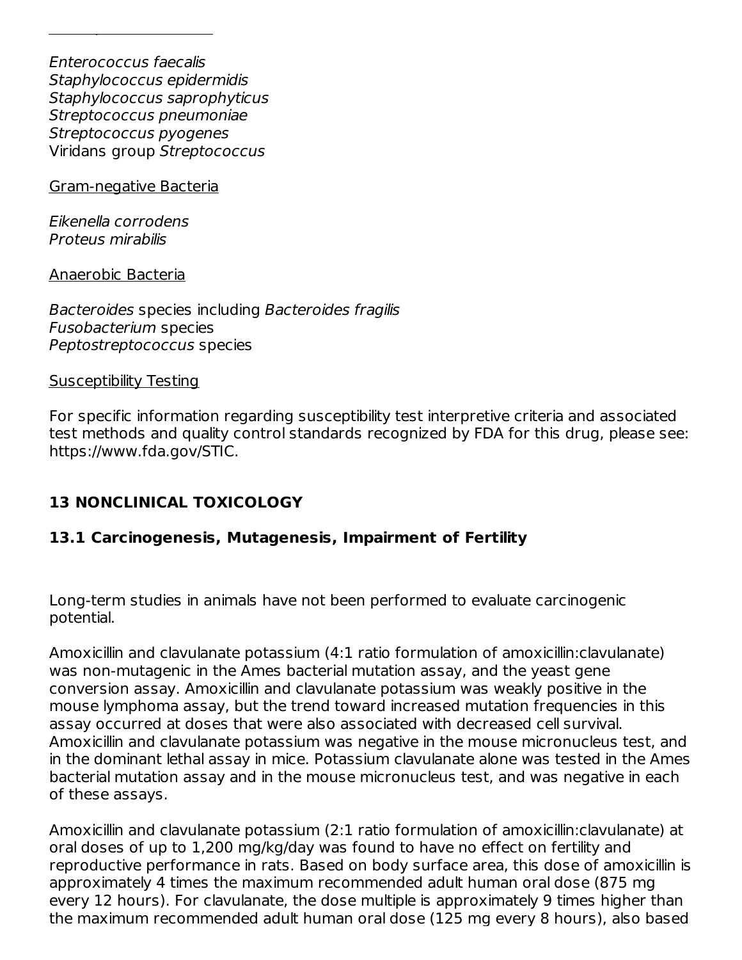Enterococcus faecalis Staphylococcus epidermidis Staphylococcus saprophyticus Streptococcus pneumoniae Streptococcus pyogenes Viridans group Streptococcus

Gram-negative Bacteria

Gram-positive Bacteria

Eikenella corrodens Proteus mirabilis

Anaerobic Bacteria

Bacteroides species including Bacteroides fragilis Fusobacterium species Peptostreptococcus species

Susceptibility Testing

For specific information regarding susceptibility test interpretive criteria and associated test methods and quality control standards recognized by FDA for this drug, please see: https://www.fda.gov/STIC.

## **13 NONCLINICAL TOXICOLOGY**

#### **13.1 Carcinogenesis, Mutagenesis, Impairment of Fertility**

Long-term studies in animals have not been performed to evaluate carcinogenic potential.

Amoxicillin and clavulanate potassium (4:1 ratio formulation of amoxicillin:clavulanate) was non-mutagenic in the Ames bacterial mutation assay, and the yeast gene conversion assay. Amoxicillin and clavulanate potassium was weakly positive in the mouse lymphoma assay, but the trend toward increased mutation frequencies in this assay occurred at doses that were also associated with decreased cell survival. Amoxicillin and clavulanate potassium was negative in the mouse micronucleus test, and in the dominant lethal assay in mice. Potassium clavulanate alone was tested in the Ames bacterial mutation assay and in the mouse micronucleus test, and was negative in each of these assays.

Amoxicillin and clavulanate potassium (2:1 ratio formulation of amoxicillin:clavulanate) at oral doses of up to 1,200 mg/kg/day was found to have no effect on fertility and reproductive performance in rats. Based on body surface area, this dose of amoxicillin is approximately 4 times the maximum recommended adult human oral dose (875 mg every 12 hours). For clavulanate, the dose multiple is approximately 9 times higher than the maximum recommended adult human oral dose (125 mg every 8 hours), also based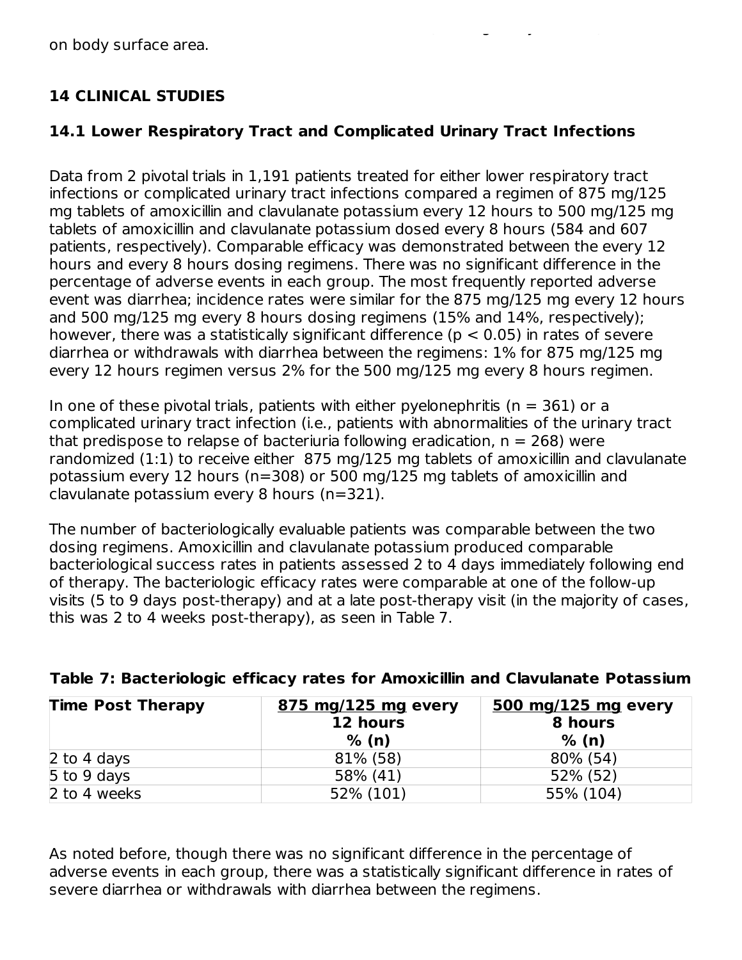## **14 CLINICAL STUDIES**

### **14.1 Lower Respiratory Tract and Complicated Urinary Tract Infections**

the maximum recommended adult human oral dose (125 mg every 8 hours), also based

Data from 2 pivotal trials in 1,191 patients treated for either lower respiratory tract infections or complicated urinary tract infections compared a regimen of 875 mg/125 mg tablets of amoxicillin and clavulanate potassium every 12 hours to 500 mg/125 mg tablets of amoxicillin and clavulanate potassium dosed every 8 hours (584 and 607 patients, respectively). Comparable efficacy was demonstrated between the every 12 hours and every 8 hours dosing regimens. There was no significant difference in the percentage of adverse events in each group. The most frequently reported adverse event was diarrhea; incidence rates were similar for the 875 mg/125 mg every 12 hours and 500 mg/125 mg every 8 hours dosing regimens (15% and 14%, respectively); however, there was a statistically significant difference ( $p < 0.05$ ) in rates of severe diarrhea or withdrawals with diarrhea between the regimens: 1% for 875 mg/125 mg every 12 hours regimen versus 2% for the 500 mg/125 mg every 8 hours regimen.

In one of these pivotal trials, patients with either pyelonephritis ( $n = 361$ ) or a complicated urinary tract infection (i.e., patients with abnormalities of the urinary tract that predispose to relapse of bacteriuria following eradication,  $n = 268$ ) were randomized (1:1) to receive either 875 mg/125 mg tablets of amoxicillin and clavulanate potassium every 12 hours (n=308) or 500 mg/125 mg tablets of amoxicillin and clavulanate potassium every 8 hours (n=321).

The number of bacteriologically evaluable patients was comparable between the two dosing regimens. Amoxicillin and clavulanate potassium produced comparable bacteriological success rates in patients assessed 2 to 4 days immediately following end of therapy. The bacteriologic efficacy rates were comparable at one of the follow-up visits (5 to 9 days post-therapy) and at a late post-therapy visit (in the majority of cases, this was 2 to 4 weeks post-therapy), as seen in Table 7.

| <b>Time Post Therapy</b> | 875 mg/125 mg every | 500 mg/125 mg every |
|--------------------------|---------------------|---------------------|
|                          | 12 hours            | 8 hours             |
|                          | % (n)               | % (n)               |
| 2 to 4 days              | 81% (58)            | 80% (54)            |
| 5 to 9 days              | 58% (41)            | 52% (52)            |
| 2 to 4 weeks             | 52% (101)           | 55% (104)           |

#### **Table 7: Bacteriologic efficacy rates for Amoxicillin and Clavulanate Potassium**

As noted before, though there was no significant difference in the percentage of adverse events in each group, there was a statistically significant difference in rates of severe diarrhea or withdrawals with diarrhea between the regimens.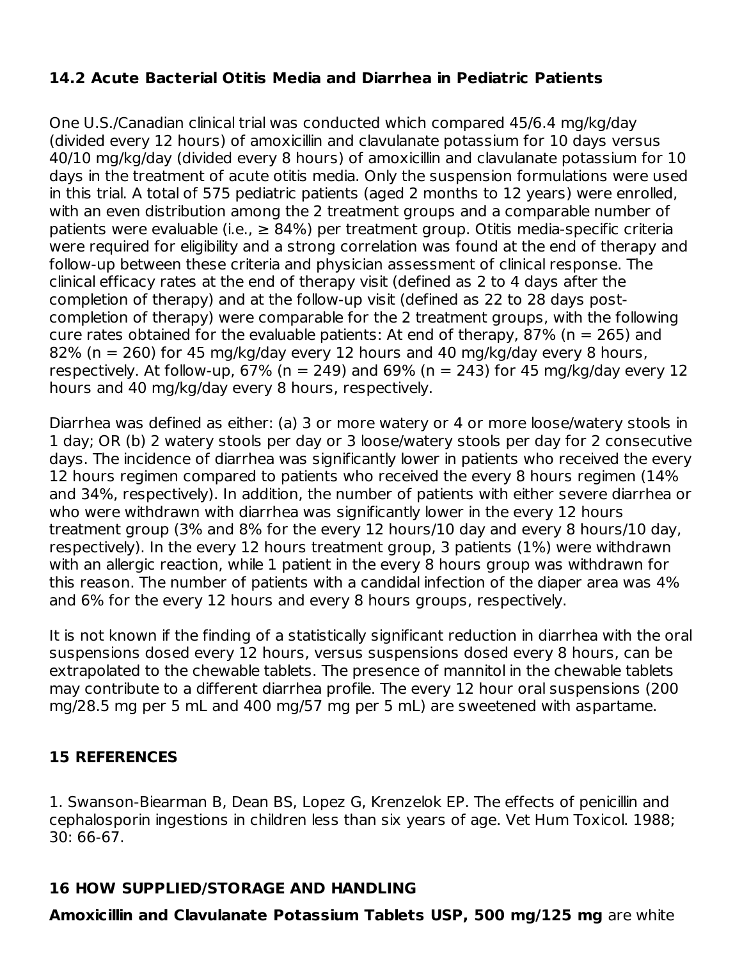## **14.2 Acute Bacterial Otitis Media and Diarrhea in Pediatric Patients**

One U.S./Canadian clinical trial was conducted which compared 45/6.4 mg/kg/day (divided every 12 hours) of amoxicillin and clavulanate potassium for 10 days versus 40/10 mg/kg/day (divided every 8 hours) of amoxicillin and clavulanate potassium for 10 days in the treatment of acute otitis media. Only the suspension formulations were used in this trial. A total of 575 pediatric patients (aged 2 months to 12 years) were enrolled, with an even distribution among the 2 treatment groups and a comparable number of patients were evaluable (i.e.,  $\geq 84\%$ ) per treatment group. Otitis media-specific criteria were required for eligibility and a strong correlation was found at the end of therapy and follow-up between these criteria and physician assessment of clinical response. The clinical efficacy rates at the end of therapy visit (defined as 2 to 4 days after the completion of therapy) and at the follow-up visit (defined as 22 to 28 days postcompletion of therapy) were comparable for the 2 treatment groups, with the following cure rates obtained for the evaluable patients: At end of therapy, 87% ( $n = 265$ ) and 82% (n = 260) for 45 mg/kg/day every 12 hours and 40 mg/kg/day every 8 hours, respectively. At follow-up,  $67\%$  (n = 249) and  $69\%$  (n = 243) for 45 mg/kg/day every 12 hours and 40 mg/kg/day every 8 hours, respectively.

Diarrhea was defined as either: (a) 3 or more watery or 4 or more loose/watery stools in 1 day; OR (b) 2 watery stools per day or 3 loose/watery stools per day for 2 consecutive days. The incidence of diarrhea was significantly lower in patients who received the every 12 hours regimen compared to patients who received the every 8 hours regimen (14% and 34%, respectively). In addition, the number of patients with either severe diarrhea or who were withdrawn with diarrhea was significantly lower in the every 12 hours treatment group (3% and 8% for the every 12 hours/10 day and every 8 hours/10 day, respectively). In the every 12 hours treatment group, 3 patients (1%) were withdrawn with an allergic reaction, while 1 patient in the every 8 hours group was withdrawn for this reason. The number of patients with a candidal infection of the diaper area was 4% and 6% for the every 12 hours and every 8 hours groups, respectively.

It is not known if the finding of a statistically significant reduction in diarrhea with the oral suspensions dosed every 12 hours, versus suspensions dosed every 8 hours, can be extrapolated to the chewable tablets. The presence of mannitol in the chewable tablets may contribute to a different diarrhea profile. The every 12 hour oral suspensions (200 mg/28.5 mg per 5 mL and 400 mg/57 mg per 5 mL) are sweetened with aspartame.

## **15 REFERENCES**

1. Swanson-Biearman B, Dean BS, Lopez G, Krenzelok EP. The effects of penicillin and cephalosporin ingestions in children less than six years of age. Vet Hum Toxicol. 1988; 30: 66-67.

## **16 HOW SUPPLIED/STORAGE AND HANDLING**

**Amoxicillin and Clavulanate Potassium Tablets USP, 500 mg/125 mg** are white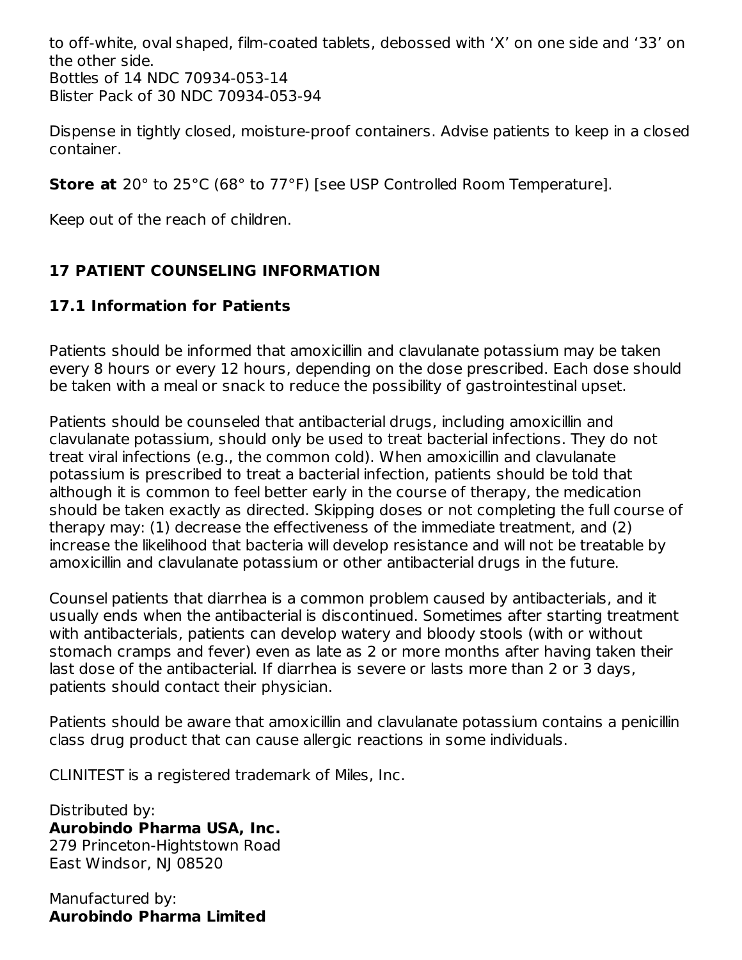to off-white, oval shaped, film-coated tablets, debossed with 'X' on one side and '33' on the other side. Bottles of 14 NDC 70934-053-14 Blister Pack of 30 NDC 70934-053-94

Dispense in tightly closed, moisture-proof containers. Advise patients to keep in a closed container.

**Store at** 20° to 25°C (68° to 77°F) [see USP Controlled Room Temperature].

Keep out of the reach of children.

# **17 PATIENT COUNSELING INFORMATION**

# **17.1 Information for Patients**

Patients should be informed that amoxicillin and clavulanate potassium may be taken every 8 hours or every 12 hours, depending on the dose prescribed. Each dose should be taken with a meal or snack to reduce the possibility of gastrointestinal upset.

Patients should be counseled that antibacterial drugs, including amoxicillin and clavulanate potassium, should only be used to treat bacterial infections. They do not treat viral infections (e.g., the common cold). When amoxicillin and clavulanate potassium is prescribed to treat a bacterial infection, patients should be told that although it is common to feel better early in the course of therapy, the medication should be taken exactly as directed. Skipping doses or not completing the full course of therapy may: (1) decrease the effectiveness of the immediate treatment, and (2) increase the likelihood that bacteria will develop resistance and will not be treatable by amoxicillin and clavulanate potassium or other antibacterial drugs in the future.

Counsel patients that diarrhea is a common problem caused by antibacterials, and it usually ends when the antibacterial is discontinued. Sometimes after starting treatment with antibacterials, patients can develop watery and bloody stools (with or without stomach cramps and fever) even as late as 2 or more months after having taken their last dose of the antibacterial. If diarrhea is severe or lasts more than 2 or 3 days, patients should contact their physician.

Patients should be aware that amoxicillin and clavulanate potassium contains a penicillin class drug product that can cause allergic reactions in some individuals.

CLINITEST is a registered trademark of Miles, Inc.

Distributed by: **Aurobindo Pharma USA, Inc.** 279 Princeton-Hightstown Road East Windsor, NJ 08520

Manufactured by: **Aurobindo Pharma Limited**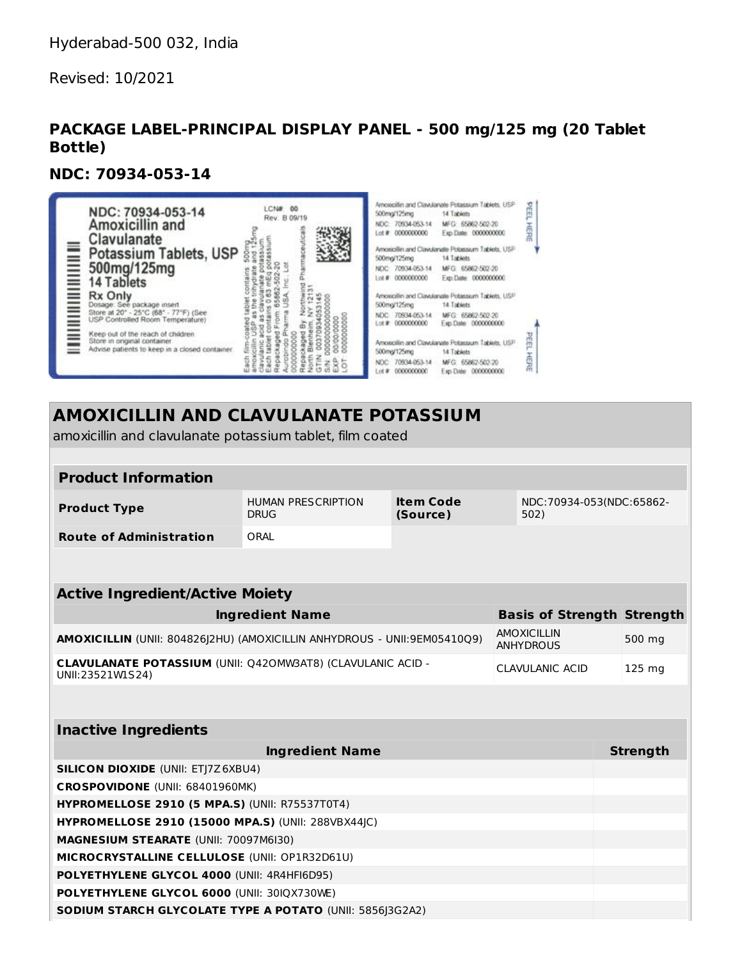Revised: 10/2021

### **PACKAGE LABEL-PRINCIPAL DISPLAY PANEL - 500 mg/125 mg (20 Tablet Bottle)**

#### **NDC: 70934-053-14**

| NDC: 70934-053-14<br>Amoxicillin and<br>Clavulanate<br>▊▊▊▊▁▏▁<br>Potassium Tablets, USP<br>500mg/125mg<br>14 Tablets                                                                                                                     | LCNW<br>Rev. B 09/19 | Amoscillin and Clawianate Potassum Tablets, USP<br>500mg/125mg<br>14 Tablets<br>MFG 65862-502-20<br>NDC: 70934-053-14<br>Lot # 0000000000<br>Exp.Date: 0000000000<br>Amoxicollin and Clawulanate Potassaum Tablets, USP<br>500mg/125mg<br>14 Tablets<br>NDC: 70934-053-14<br>MFG: 65862-502-20<br>Lot # 0000000000<br>Exp. Date: 0000000000 |  |
|-------------------------------------------------------------------------------------------------------------------------------------------------------------------------------------------------------------------------------------------|----------------------|---------------------------------------------------------------------------------------------------------------------------------------------------------------------------------------------------------------------------------------------------------------------------------------------------------------------------------------------|--|
| Rx Only<br>Dosage: See package insert<br>Store at 20° - 25°C (68° - 77°F) (See<br>USP Controlled Room Temperature)<br>Keep out of the reach of children.<br>Store in original container<br>Advise patients to keep in a closed container. |                      | Amoscilin and Clawianate Potassum Tablets, USP<br>500mg/125mg<br>14 Tablets<br>NDC 70934-053-14<br>MFG 65862-502-20<br>Lot # 0000000000<br>Exp. Date 0000000000<br>Amosicilin and Clawulanate Potassum Tablets, USP<br>500mg/125mg<br>14 Tablets<br>70934-053-14<br>MFG 65862-502-20<br>000000000<br>xp Date 0000000000<br>Let #r           |  |

# **AMOXICILLIN AND CLAVULANATE POTASSIUM**

amoxicillin and clavulanate potassium tablet, film coated

#### **Product Information**

| <b>Product Type</b>            | <b>HUMAN PRESCRIPTION</b> | Item Code | NDC:70934-053(NDC:65862- |
|--------------------------------|---------------------------|-----------|--------------------------|
|                                | <b>DRUG</b>               | (Source)  | 502)                     |
| <b>Route of Administration</b> | ORAL                      |           |                          |

#### **Active Ingredient/Active Moiety**

| Ingredient Name                                                                        | <b>Basis of Strength Strength</b> |        |
|----------------------------------------------------------------------------------------|-----------------------------------|--------|
| AMOXICILLIN (UNII: 804826 2HU) (AMOXICILLIN ANHYDROUS - UNII:9EM05410Q9)               | AMOXICILLIN<br><b>ANHYDROUS</b>   | 500 mg |
| <b>CLAVULANATE POTASSIUM (UNII: Q420MW3AT8) (CLAVULANIC ACID -</b><br>UNII:23521W1S24) | CLAVULANIC ACID                   | 125 mg |

## **Inactive Ingredients**

| <b>Ingredient Name</b>                                          | <b>Strength</b> |
|-----------------------------------------------------------------|-----------------|
| <b>SILICON DIOXIDE (UNII: ETJ7Z6XBU4)</b>                       |                 |
| <b>CROSPOVIDONE</b> (UNII: 68401960MK)                          |                 |
| <b>HYPROMELLOSE 2910 (5 MPA.S) (UNII: R75537T0T4)</b>           |                 |
| <b>HYPROMELLOSE 2910 (15000 MPA.S) (UNII: 288VBX44JC)</b>       |                 |
| <b>MAGNESIUM STEARATE (UNII: 70097M6I30)</b>                    |                 |
| <b>MICROCRYSTALLINE CELLULOSE (UNII: OP1R32D61U)</b>            |                 |
| <b>POLYETHYLENE GLYCOL 4000 (UNII: 4R4HFI6D95)</b>              |                 |
| POLYETHYLENE GLYCOL 6000 (UNII: 30IQX730WE)                     |                 |
| <b>SODIUM STARCH GLYCOLATE TYPE A POTATO (UNII: 5856 3G2A2)</b> |                 |